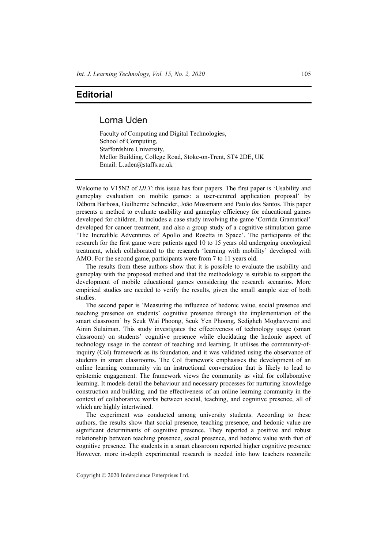## **Editorial**

## Lorna Uden

Faculty of Computing and Digital Technologies, School of Computing, Staffordshire University, Mellor Building, College Road, Stoke-on-Trent, ST4 2DE, UK Email: L.uden@staffs.ac.uk

Welcome to V15N2 of *IJLT*: this issue has four papers. The first paper is 'Usability and gameplay evaluation on mobile games: a user-centred application proposal' by Débora Barbosa, Guilherme Schneider, João Mossmann and Paulo dos Santos. This paper presents a method to evaluate usability and gameplay efficiency for educational games developed for children. It includes a case study involving the game 'Corrida Gramatical' developed for cancer treatment, and also a group study of a cognitive stimulation game 'The Incredible Adventures of Apollo and Rosetta in Space'. The participants of the research for the first game were patients aged 10 to 15 years old undergoing oncological treatment, which collaborated to the research 'learning with mobility' developed with AMO. For the second game, participants were from 7 to 11 years old.

The results from these authors show that it is possible to evaluate the usability and gameplay with the proposed method and that the methodology is suitable to support the development of mobile educational games considering the research scenarios. More empirical studies are needed to verify the results, given the small sample size of both studies.

The second paper is 'Measuring the influence of hedonic value, social presence and teaching presence on students' cognitive presence through the implementation of the smart classroom' by Seuk Wai Phoong, Seuk Yen Phoong, Sedigheh Moghavvemi and Ainin Sulaiman. This study investigates the effectiveness of technology usage (smart classroom) on students' cognitive presence while elucidating the hedonic aspect of technology usage in the context of teaching and learning. It utilises the community-ofinquiry (CoI) framework as its foundation, and it was validated using the observance of students in smart classrooms. The CoI framework emphasises the development of an online learning community via an instructional conversation that is likely to lead to epistemic engagement. The framework views the community as vital for collaborative learning. It models detail the behaviour and necessary processes for nurturing knowledge construction and building, and the effectiveness of an online learning community in the context of collaborative works between social, teaching, and cognitive presence, all of which are highly intertwined.

The experiment was conducted among university students. According to these authors, the results show that social presence, teaching presence, and hedonic value are significant determinants of cognitive presence. They reported a positive and robust relationship between teaching presence, social presence, and hedonic value with that of cognitive presence. The students in a smart classroom reported higher cognitive presence However, more in-depth experimental research is needed into how teachers reconcile